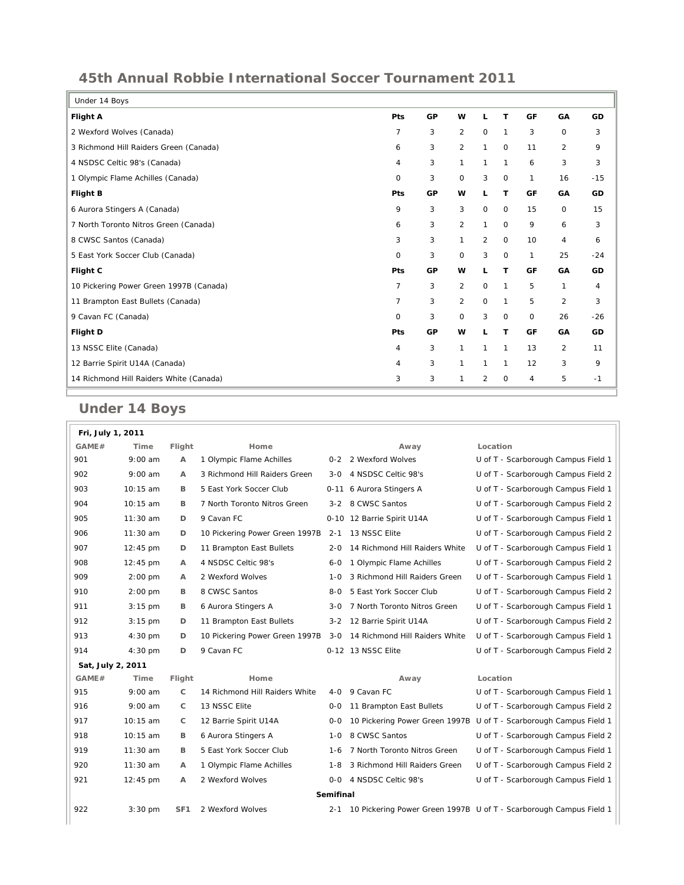## **45th Annual Robbie International Soccer Tournament 2011**

| Under 14 Boys                           |                |    |                |              |              |                |                |       |
|-----------------------------------------|----------------|----|----------------|--------------|--------------|----------------|----------------|-------|
| <b>Flight A</b>                         | Pts            | GP | w              | L            | T            | GF             | GA             | GD    |
| 2 Wexford Wolves (Canada)               | 7              | 3  | 2              | $\mathbf 0$  | $\mathbf{1}$ | 3              | 0              | 3     |
| 3 Richmond Hill Raiders Green (Canada)  | 6              | 3  | $\overline{2}$ | $\mathbf{1}$ | 0            | 11             | 2              | 9     |
| 4 NSDSC Celtic 98's (Canada)            | 4              | 3  | $\mathbf{1}$   | 1            | $\mathbf{1}$ | 6              | 3              | 3     |
| 1 Olympic Flame Achilles (Canada)       | $\Omega$       | 3  | $\mathbf 0$    | 3            | $\circ$      | 1              | 16             | $-15$ |
| <b>Flight B</b>                         | <b>Pts</b>     | GP | w              | L            | T            | GF             | GA             | GD    |
| 6 Aurora Stingers A (Canada)            | 9              | 3  | 3              | $\mathbf 0$  | $\mathbf 0$  | 15             | 0              | 15    |
| 7 North Toronto Nitros Green (Canada)   | 6              | 3  | $\overline{2}$ | $\mathbf{1}$ | $\mathbf 0$  | 9              | 6              | 3     |
| 8 CWSC Santos (Canada)                  |                | 3  | 1              | 2            | $\mathbf 0$  | 10             | $\overline{4}$ | 6     |
| 5 East York Soccer Club (Canada)        | $\Omega$       | 3  | $\mathbf 0$    | 3            | $\mathbf 0$  | $\mathbf{1}$   | 25             | $-24$ |
| Flight C                                | Pts            | GP | w              | L            | T            | GF             | GA             | GD    |
| 10 Pickering Power Green 1997B (Canada) | $\overline{7}$ | 3  | $\overline{2}$ | $\mathbf 0$  | $\mathbf{1}$ | 5              | $\mathbf{1}$   | 4     |
| 11 Brampton East Bullets (Canada)       | $\overline{7}$ | 3  | 2              | $\mathbf 0$  | $\mathbf{1}$ | 5              | 2              | 3     |
| 9 Cavan FC (Canada)                     |                | 3  | $\mathbf 0$    | 3            | $\circ$      | $\mathbf 0$    | 26             | $-26$ |
| Flight D                                | Pts            | GP | w              | L            | T            | GF             | GA             | GD    |
| 13 NSSC Elite (Canada)                  | 4              | 3  | 1              | 1            | $\mathbf{1}$ | 13             | 2              | 11    |
| 12 Barrie Spirit U14A (Canada)          | 4              | 3  | 1              | 1            | $\mathbf{1}$ | 12             | 3              | 9     |
| 14 Richmond Hill Raiders White (Canada) |                | 3  | 1              | 2            | $\mathsf{O}$ | $\overline{4}$ | 5              | $-1$  |

## **Under 14 Boys**

 $\overline{a}$ 

| Location<br>GAME#<br>Flight<br>Home<br>Time<br>Away<br>$9:00$ am<br>1 Olympic Flame Achilles<br>901<br>A<br>0-2 2 Wexford Wolves<br>U of T - Scarborough Campus Field 1<br>3 Richmond Hill Raiders Green<br>902<br>$9:00$ am<br>4 NSDSC Celtic 98's<br>U of T - Scarborough Campus Field 2<br>A<br>3-0<br>903<br>10:15 am<br>5 East York Soccer Club<br>0-11 6 Aurora Stingers A<br>U of T - Scarborough Campus Field 1<br>в<br>10:15 am<br>904<br>7 North Toronto Nitros Green<br>3-2 8 CWSC Santos<br>U of T - Scarborough Campus Field 2<br>в<br>905<br>$11:30$ am<br>9 Cavan FC<br>0-10 12 Barrie Spirit U14A<br>U of T - Scarborough Campus Field 1<br>D<br>906<br>11:30 am<br>10 Pickering Power Green 1997B<br>D<br>13 NSSC Elite<br>U of T - Scarborough Campus Field 2<br>2-1<br>907<br>14 Richmond Hill Raiders White<br>12:45 pm<br>D<br>11 Brampton East Bullets<br>U of T - Scarborough Campus Field 1<br>$2 - 0$<br>908<br>12:45 pm<br>4 NSDSC Celtic 98's<br>1 Olympic Flame Achilles<br>U of T - Scarborough Campus Field 2<br>A<br>6-0<br>909<br>$2:00$ pm<br>2 Wexford Wolves<br>3 Richmond Hill Raiders Green<br>U of T - Scarborough Campus Field 1<br>A<br>$1 - 0$<br>910<br>5 East York Soccer Club<br>$2:00$ pm<br>В<br>8 CWSC Santos<br>U of T - Scarborough Campus Field 2<br>8-0<br>911<br>$3:15$ pm<br>6 Aurora Stingers A<br>7 North Toronto Nitros Green<br>U of T - Scarborough Campus Field 1<br>в<br>$3 - 0$<br>912<br>11 Brampton East Bullets<br>3-2 12 Barrie Spirit U14A<br>$3:15$ pm<br>D<br>U of T - Scarborough Campus Field 2<br>913<br>$4:30$ pm<br>D<br>10 Pickering Power Green 1997B<br>3-0 14 Richmond Hill Raiders White<br>U of T - Scarborough Campus Field 1<br>914<br>D<br>9 Cavan FC<br>0-12 13 NSSC Elite<br>U of T - Scarborough Campus Field 2<br>$4:30$ pm<br>Sat, July 2, 2011<br>GAME#<br>Time<br>Home<br>Location<br>Flight<br>Away<br>14 Richmond Hill Raiders White<br>$9:00$ am<br>C<br>4-0 9 Cavan FC<br>U of T - Scarborough Campus Field 1<br>915<br>916<br>$9:00$ am<br>C<br>13 NSSC Elite<br>11 Brampton East Bullets<br>U of T - Scarborough Campus Field 2<br>0-0 |
|---------------------------------------------------------------------------------------------------------------------------------------------------------------------------------------------------------------------------------------------------------------------------------------------------------------------------------------------------------------------------------------------------------------------------------------------------------------------------------------------------------------------------------------------------------------------------------------------------------------------------------------------------------------------------------------------------------------------------------------------------------------------------------------------------------------------------------------------------------------------------------------------------------------------------------------------------------------------------------------------------------------------------------------------------------------------------------------------------------------------------------------------------------------------------------------------------------------------------------------------------------------------------------------------------------------------------------------------------------------------------------------------------------------------------------------------------------------------------------------------------------------------------------------------------------------------------------------------------------------------------------------------------------------------------------------------------------------------------------------------------------------------------------------------------------------------------------------------------------------------------------------------------------------------------------------------------------------------------------------------------------------------------------------------------------------------------------------------------------------------------------------|
|                                                                                                                                                                                                                                                                                                                                                                                                                                                                                                                                                                                                                                                                                                                                                                                                                                                                                                                                                                                                                                                                                                                                                                                                                                                                                                                                                                                                                                                                                                                                                                                                                                                                                                                                                                                                                                                                                                                                                                                                                                                                                                                                       |
|                                                                                                                                                                                                                                                                                                                                                                                                                                                                                                                                                                                                                                                                                                                                                                                                                                                                                                                                                                                                                                                                                                                                                                                                                                                                                                                                                                                                                                                                                                                                                                                                                                                                                                                                                                                                                                                                                                                                                                                                                                                                                                                                       |
|                                                                                                                                                                                                                                                                                                                                                                                                                                                                                                                                                                                                                                                                                                                                                                                                                                                                                                                                                                                                                                                                                                                                                                                                                                                                                                                                                                                                                                                                                                                                                                                                                                                                                                                                                                                                                                                                                                                                                                                                                                                                                                                                       |
|                                                                                                                                                                                                                                                                                                                                                                                                                                                                                                                                                                                                                                                                                                                                                                                                                                                                                                                                                                                                                                                                                                                                                                                                                                                                                                                                                                                                                                                                                                                                                                                                                                                                                                                                                                                                                                                                                                                                                                                                                                                                                                                                       |
|                                                                                                                                                                                                                                                                                                                                                                                                                                                                                                                                                                                                                                                                                                                                                                                                                                                                                                                                                                                                                                                                                                                                                                                                                                                                                                                                                                                                                                                                                                                                                                                                                                                                                                                                                                                                                                                                                                                                                                                                                                                                                                                                       |
|                                                                                                                                                                                                                                                                                                                                                                                                                                                                                                                                                                                                                                                                                                                                                                                                                                                                                                                                                                                                                                                                                                                                                                                                                                                                                                                                                                                                                                                                                                                                                                                                                                                                                                                                                                                                                                                                                                                                                                                                                                                                                                                                       |
|                                                                                                                                                                                                                                                                                                                                                                                                                                                                                                                                                                                                                                                                                                                                                                                                                                                                                                                                                                                                                                                                                                                                                                                                                                                                                                                                                                                                                                                                                                                                                                                                                                                                                                                                                                                                                                                                                                                                                                                                                                                                                                                                       |
|                                                                                                                                                                                                                                                                                                                                                                                                                                                                                                                                                                                                                                                                                                                                                                                                                                                                                                                                                                                                                                                                                                                                                                                                                                                                                                                                                                                                                                                                                                                                                                                                                                                                                                                                                                                                                                                                                                                                                                                                                                                                                                                                       |
|                                                                                                                                                                                                                                                                                                                                                                                                                                                                                                                                                                                                                                                                                                                                                                                                                                                                                                                                                                                                                                                                                                                                                                                                                                                                                                                                                                                                                                                                                                                                                                                                                                                                                                                                                                                                                                                                                                                                                                                                                                                                                                                                       |
|                                                                                                                                                                                                                                                                                                                                                                                                                                                                                                                                                                                                                                                                                                                                                                                                                                                                                                                                                                                                                                                                                                                                                                                                                                                                                                                                                                                                                                                                                                                                                                                                                                                                                                                                                                                                                                                                                                                                                                                                                                                                                                                                       |
|                                                                                                                                                                                                                                                                                                                                                                                                                                                                                                                                                                                                                                                                                                                                                                                                                                                                                                                                                                                                                                                                                                                                                                                                                                                                                                                                                                                                                                                                                                                                                                                                                                                                                                                                                                                                                                                                                                                                                                                                                                                                                                                                       |
|                                                                                                                                                                                                                                                                                                                                                                                                                                                                                                                                                                                                                                                                                                                                                                                                                                                                                                                                                                                                                                                                                                                                                                                                                                                                                                                                                                                                                                                                                                                                                                                                                                                                                                                                                                                                                                                                                                                                                                                                                                                                                                                                       |
|                                                                                                                                                                                                                                                                                                                                                                                                                                                                                                                                                                                                                                                                                                                                                                                                                                                                                                                                                                                                                                                                                                                                                                                                                                                                                                                                                                                                                                                                                                                                                                                                                                                                                                                                                                                                                                                                                                                                                                                                                                                                                                                                       |
|                                                                                                                                                                                                                                                                                                                                                                                                                                                                                                                                                                                                                                                                                                                                                                                                                                                                                                                                                                                                                                                                                                                                                                                                                                                                                                                                                                                                                                                                                                                                                                                                                                                                                                                                                                                                                                                                                                                                                                                                                                                                                                                                       |
|                                                                                                                                                                                                                                                                                                                                                                                                                                                                                                                                                                                                                                                                                                                                                                                                                                                                                                                                                                                                                                                                                                                                                                                                                                                                                                                                                                                                                                                                                                                                                                                                                                                                                                                                                                                                                                                                                                                                                                                                                                                                                                                                       |
|                                                                                                                                                                                                                                                                                                                                                                                                                                                                                                                                                                                                                                                                                                                                                                                                                                                                                                                                                                                                                                                                                                                                                                                                                                                                                                                                                                                                                                                                                                                                                                                                                                                                                                                                                                                                                                                                                                                                                                                                                                                                                                                                       |
|                                                                                                                                                                                                                                                                                                                                                                                                                                                                                                                                                                                                                                                                                                                                                                                                                                                                                                                                                                                                                                                                                                                                                                                                                                                                                                                                                                                                                                                                                                                                                                                                                                                                                                                                                                                                                                                                                                                                                                                                                                                                                                                                       |
|                                                                                                                                                                                                                                                                                                                                                                                                                                                                                                                                                                                                                                                                                                                                                                                                                                                                                                                                                                                                                                                                                                                                                                                                                                                                                                                                                                                                                                                                                                                                                                                                                                                                                                                                                                                                                                                                                                                                                                                                                                                                                                                                       |
|                                                                                                                                                                                                                                                                                                                                                                                                                                                                                                                                                                                                                                                                                                                                                                                                                                                                                                                                                                                                                                                                                                                                                                                                                                                                                                                                                                                                                                                                                                                                                                                                                                                                                                                                                                                                                                                                                                                                                                                                                                                                                                                                       |
| 917<br>10:15 am<br>С<br>12 Barrie Spirit U14A<br>10 Pickering Power Green 1997B U of T - Scarborough Campus Field 1<br>$0 - 0$                                                                                                                                                                                                                                                                                                                                                                                                                                                                                                                                                                                                                                                                                                                                                                                                                                                                                                                                                                                                                                                                                                                                                                                                                                                                                                                                                                                                                                                                                                                                                                                                                                                                                                                                                                                                                                                                                                                                                                                                        |
| 918<br>10:15 am<br>8 CWSC Santos<br>U of T - Scarborough Campus Field 2<br>в<br>6 Aurora Stingers A<br>$1 - 0$                                                                                                                                                                                                                                                                                                                                                                                                                                                                                                                                                                                                                                                                                                                                                                                                                                                                                                                                                                                                                                                                                                                                                                                                                                                                                                                                                                                                                                                                                                                                                                                                                                                                                                                                                                                                                                                                                                                                                                                                                        |
| 919<br>$11:30$ am<br>в<br>5 East York Soccer Club<br>7 North Toronto Nitros Green<br>U of T - Scarborough Campus Field 1<br>$1 - 6$                                                                                                                                                                                                                                                                                                                                                                                                                                                                                                                                                                                                                                                                                                                                                                                                                                                                                                                                                                                                                                                                                                                                                                                                                                                                                                                                                                                                                                                                                                                                                                                                                                                                                                                                                                                                                                                                                                                                                                                                   |
| 920<br>$11:30$ am<br>1 Olympic Flame Achilles<br>3 Richmond Hill Raiders Green<br>U of T - Scarborough Campus Field 2<br>A<br>1-8                                                                                                                                                                                                                                                                                                                                                                                                                                                                                                                                                                                                                                                                                                                                                                                                                                                                                                                                                                                                                                                                                                                                                                                                                                                                                                                                                                                                                                                                                                                                                                                                                                                                                                                                                                                                                                                                                                                                                                                                     |
| 921<br>$12:45$ pm<br>2 Wexford Wolves<br>4 NSDSC Celtic 98's<br>U of T - Scarborough Campus Field 1<br>A<br>0-0                                                                                                                                                                                                                                                                                                                                                                                                                                                                                                                                                                                                                                                                                                                                                                                                                                                                                                                                                                                                                                                                                                                                                                                                                                                                                                                                                                                                                                                                                                                                                                                                                                                                                                                                                                                                                                                                                                                                                                                                                       |
| Semifinal                                                                                                                                                                                                                                                                                                                                                                                                                                                                                                                                                                                                                                                                                                                                                                                                                                                                                                                                                                                                                                                                                                                                                                                                                                                                                                                                                                                                                                                                                                                                                                                                                                                                                                                                                                                                                                                                                                                                                                                                                                                                                                                             |
| 922<br>$3:30$ pm<br>2 Wexford Wolves<br>10 Pickering Power Green 1997B U of T - Scarborough Campus Field 1<br>SF <sub>1</sub><br>2-1                                                                                                                                                                                                                                                                                                                                                                                                                                                                                                                                                                                                                                                                                                                                                                                                                                                                                                                                                                                                                                                                                                                                                                                                                                                                                                                                                                                                                                                                                                                                                                                                                                                                                                                                                                                                                                                                                                                                                                                                  |